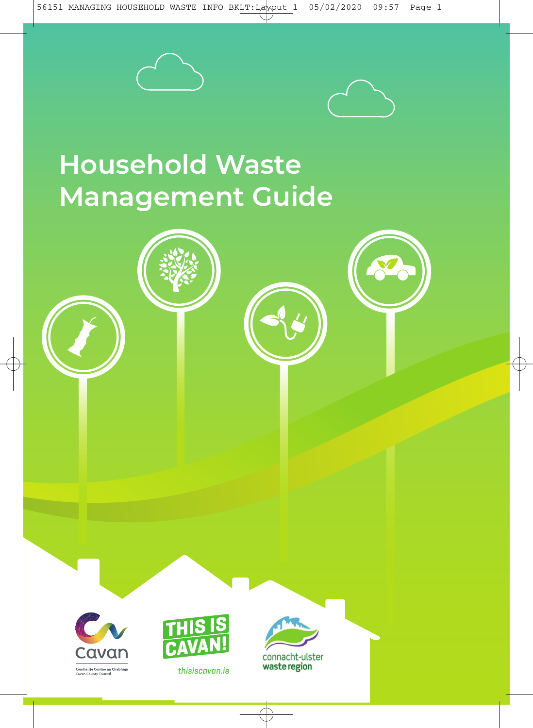











thisiscavan.ie

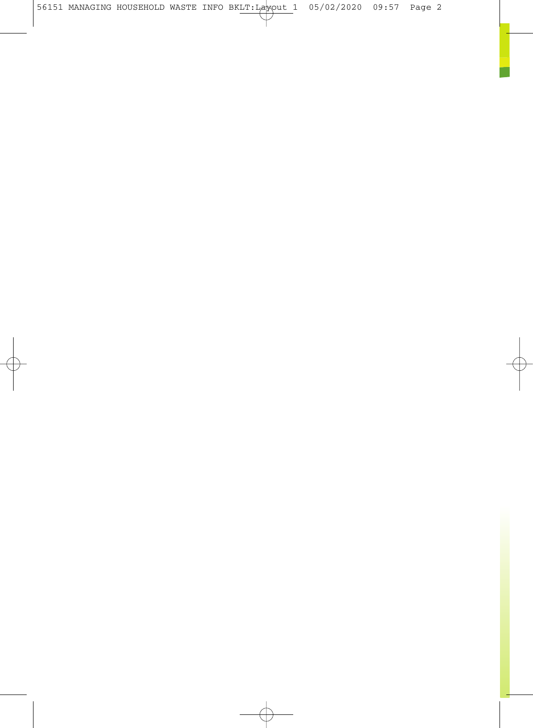$\ominus$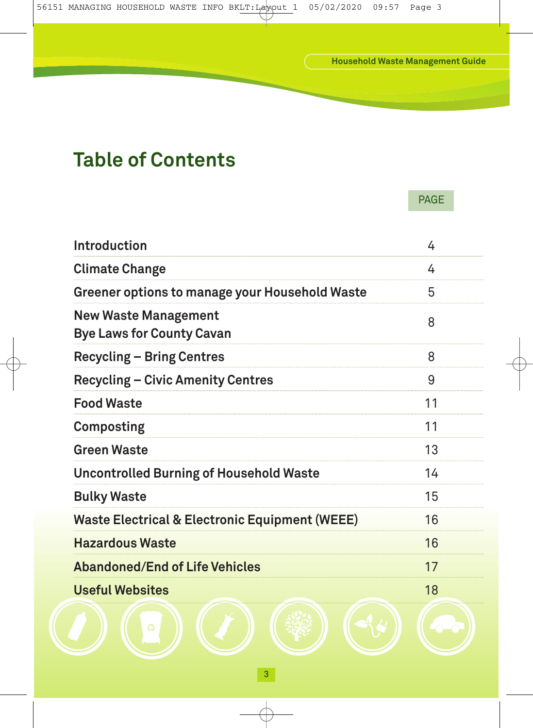

PAGE

# **Table of Contents**

| <b>Introduction</b>                                             | 4  |
|-----------------------------------------------------------------|----|
| <b>Climate Change</b>                                           | 4  |
| <b>Greener options to manage your Household Waste</b>           | 5  |
| <b>New Waste Management</b><br><b>Bye Laws for County Cavan</b> | 8  |
| <b>Recycling - Bring Centres</b>                                | 8  |
| <b>Recycling - Civic Amenity Centres</b>                        | 9  |
| <b>Food Waste</b>                                               | 11 |
| Composting                                                      | 11 |
| <b>Green Waste</b>                                              | 13 |
| <b>Uncontrolled Burning of Household Waste</b>                  | 14 |
| <b>Bulky Waste</b>                                              | 15 |
| <b>Waste Electrical &amp; Electronic Equipment (WEEE)</b>       | 16 |
| <b>Hazardous Waste</b>                                          | 16 |
| <b>Abandoned/End of Life Vehicles</b>                           | 17 |
| <b>Useful Websites</b>                                          | 18 |
| Ô                                                               |    |

3

<mark></u></mark>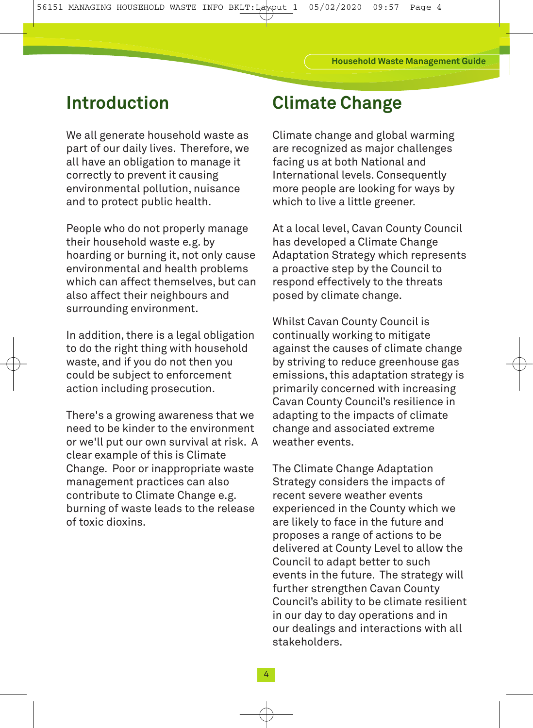### **Introduction**

We all generate household waste as part of our daily lives. Therefore, we all have an obligation to manage it correctly to prevent it causing environmental pollution, nuisance and to protect public health.

56151 MANAGING HOUSEHOLD WASTE INFO BKLT:Layout 1 05/02/2020 09:57 Page 4

People who do not properly manage their household waste e.g. by hoarding or burning it, not only cause environmental and health problems which can affect themselves, but can also affect their neighbours and surrounding environment.

In addition, there is a legal obligation to do the right thing with household waste, and if you do not then you could be subject to enforcement action including prosecution.

There's a growing awareness that we need to be kinder to the environment or we'll put our own survival at risk. A clear example of this is Climate Change. Poor or inappropriate waste management practices can also contribute to Climate Change e.g. burning of waste leads to the release of toxic dioxins.

### **Climate Change**

Climate change and global warming are recognized as major challenges facing us at both National and International levels. Consequently more people are looking for ways by which to live a little greener.

At a local level, Cavan County Council has developed a Climate Change Adaptation Strategy which represents a proactive step by the Council to respond effectively to the threats posed by climate change.

Whilst Cavan County Council is continually working to mitigate against the causes of climate change by striving to reduce greenhouse gas emissions, this adaptation strategy is primarily concerned with increasing Cavan County Council's resilience in adapting to the impacts of climate change and associated extreme weather events.

The Climate Change Adaptation Strategy considers the impacts of recent severe weather events experienced in the County which we are likely to face in the future and proposes a range of actions to be delivered at County Level to allow the Council to adapt better to such events in the future. The strategy will further strengthen Cavan County Council's ability to be climate resilient in our day to day operations and in our dealings and interactions with all stakeholders.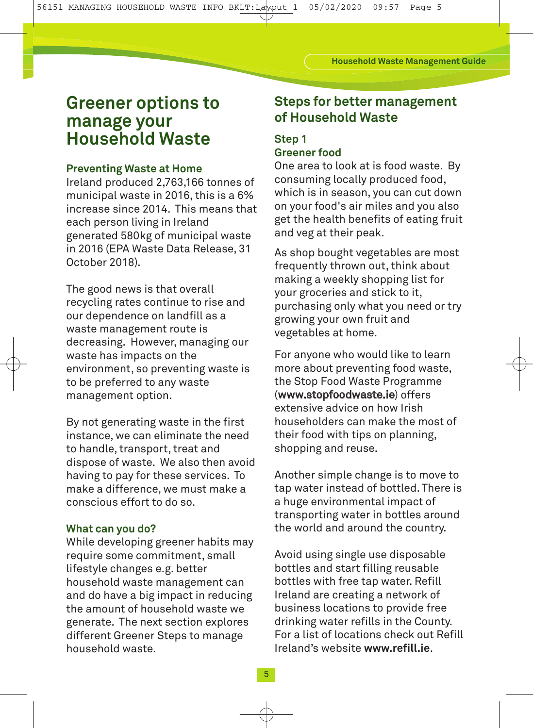**Household Waste Management Guide**

### **Greener options to manage your Household Waste**

#### **Preventing Waste at Home**

Ireland produced 2,763,166 tonnes of municipal waste in 2016, this is a 6% increase since 2014. This means that each person living in Ireland generated 580kg of municipal waste in 2016 (EPA Waste Data Release, 31 October 2018).

The good news is that overall recycling rates continue to rise and our dependence on landfill as a waste management route is decreasing. However, managing our waste has impacts on the environment, so preventing waste is to be preferred to any waste management option.

By not generating waste in the first instance, we can eliminate the need to handle, transport, treat and dispose of waste. We also then avoid having to pay for these services. To make a difference, we must make a conscious effort to do so.

#### **What can you do?**

While developing greener habits may require some commitment, small lifestyle changes e.g. better household waste management can and do have a big impact in reducing the amount of household waste we generate. The next section explores different Greener Steps to manage household waste.

#### **Steps for better management of Household Waste**

#### **Step 1 Greener food**

One area to look at is food waste. By consuming locally produced food, which is in season, you can cut down on your food's air miles and you also get the health benefits of eating fruit and veg at their peak.

As shop bought vegetables are most frequently thrown out, think about making a weekly shopping list for your groceries and stick to it, purchasing only what you need or try growing your own fruit and vegetables at home.

For anyone who would like to learn more about preventing food waste, the Stop Food Waste Programme (www.stopfoodwaste.ie) offers extensive advice on how Irish householders can make the most of their food with tips on planning, shopping and reuse.

Another simple change is to move to tap water instead of bottled. There is a huge environmental impact of transporting water in bottles around the world and around the country.

Avoid using single use disposable bottles and start filling reusable bottles with free tap water. Refill Ireland are creating a network of business locations to provide free drinking water refills in the County. For a list of locations check out Refill Ireland's website **www.refill.ie**.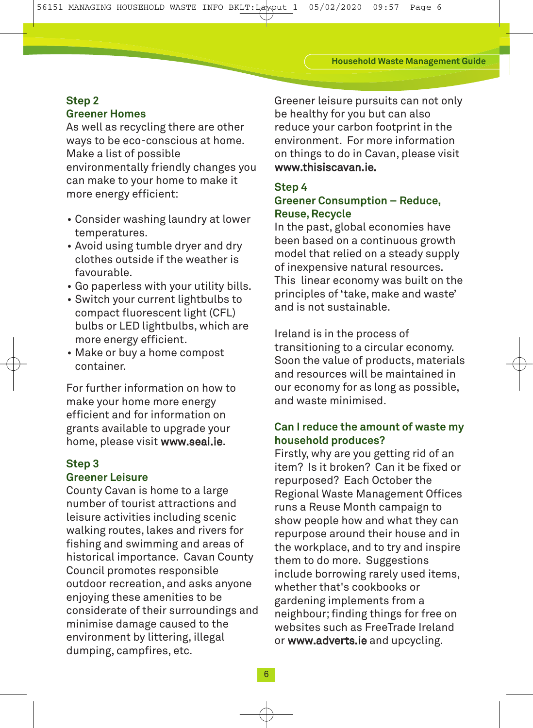#### **Step 2 Greener Homes**

As well as recycling there are other ways to be eco-conscious at home. Make a list of possible environmentally friendly changes you can make to your home to make it more energy efficient:

- Consider washing laundry at lower temperatures.
- Avoid using tumble dryer and dry clothes outside if the weather is favourable.
- Go paperless with your utility bills.
- Switch your current lightbulbs to compact fluorescent light (CFL) bulbs or LED lightbulbs, which are more energy efficient.
- Make or buy a home compost container.

For further information on how to make your home more energy efficient and for information on grants available to upgrade your home, please visit www.seai.ie.

#### **Step 3 Greener Leisure**

County Cavan is home to a large number of tourist attractions and leisure activities including scenic walking routes, lakes and rivers for fishing and swimming and areas of historical importance. Cavan County Council promotes responsible outdoor recreation, and asks anyone enjoying these amenities to be considerate of their surroundings and minimise damage caused to the environment by littering, illegal dumping, campfires, etc.

Greener leisure pursuits can not only be healthy for you but can also reduce your carbon footprint in the environment. For more information on things to do in Cavan, please visit www.thisiscavan.ie.

#### **Step 4 Greener Consumption – Reduce, Reuse, Recycle**

In the past, global economies have been based on a continuous growth model that relied on a steady supply of inexpensive natural resources. This linear economy was built on the principles of 'take, make and waste' and is not sustainable.

Ireland is in the process of transitioning to a circular economy. Soon the value of products, materials and resources will be maintained in our economy for as long as possible, and waste minimised.

#### **Can I reduce the amount of waste my household produces?**

Firstly, why are you getting rid of an item? Is it broken? Can it be fixed or repurposed? Each October the Regional Waste Management Offices runs a Reuse Month campaign to show people how and what they can repurpose around their house and in the workplace, and to try and inspire them to do more. Suggestions include borrowing rarely used items, whether that's cookbooks or gardening implements from a neighbour;finding things for free on websites such as FreeTrade Ireland or www.adverts.ie and upcycling.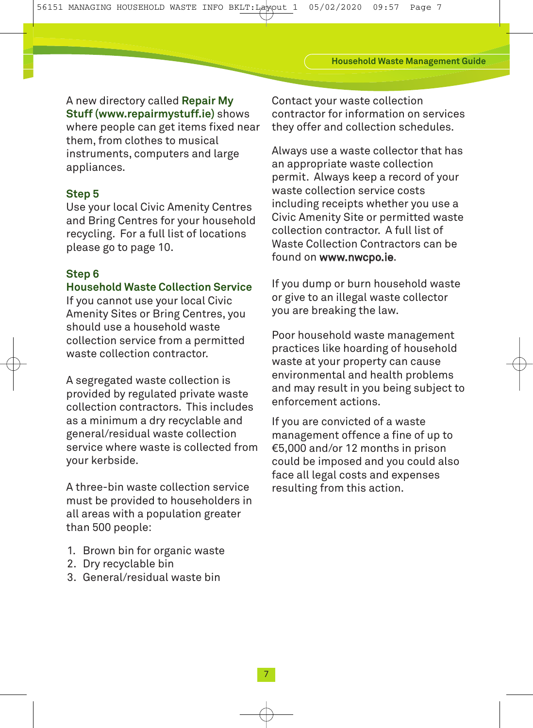**Household Waste Management Guide**

A new directory called **Repair My Stuff (www.repairmystuff.ie)** shows where people can get items fixed near them, from clothes to musical instruments, computers and large appliances.

#### **Step 5**

Use your local Civic Amenity Centres and Bring Centres for your household recycling. For a full list of locations please go to page 10.

#### **Step 6**

#### **Household Waste Collection Service**

If you cannot use your local Civic Amenity Sites or Bring Centres, you should use a household waste collection service from a permitted waste collection contractor.

A segregated waste collection is provided by regulated private waste collection contractors. This includes as a minimum a dry recyclable and general/residual waste collection service where waste is collected from your kerbside.

A three-bin waste collection service must be provided to householders in all areas with a population greater than 500 people:

- 1. Brown bin for organic waste
- 2. Dry recyclable bin
- 3. General/residual waste bin

Contact your waste collection contractor for information on services they offer and collection schedules.

Always use a waste collector that has an appropriate waste collection permit. Always keep a record of your waste collection service costs including receipts whether you use a Civic Amenity Site or permitted waste collection contractor. A full list of Waste Collection Contractors can be found on www.nwcpo.ie.

If you dump or burn household waste or give to an illegal waste collector you are breaking the law.

Poor household waste management practices like hoarding of household waste at your property can cause environmental and health problems and may result in you being subject to enforcement actions.

If you are convicted of a waste management offence a fine of up to €5,000 and/or 12 months in prison could be imposed and you could also face all legal costs and expenses resulting from this action.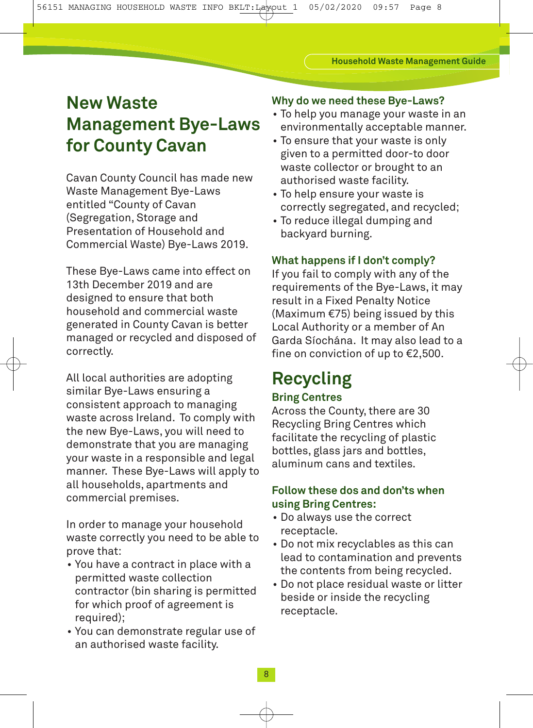# **New Waste Management Bye-Laws for County Cavan**

Cavan County Council has made new Waste Management Bye-Laws entitled "County of Cavan (Segregation, Storage and Presentation of Household and Commercial Waste) Bye-Laws 2019.

These Bye-Laws came into effect on 13th December 2019 and are designed to ensure that both household and commercial waste generated in County Cavan is better managed or recycled and disposed of correctly.

All local authorities are adopting similar Bye-Laws ensuring a consistent approach to managing waste across Ireland. To comply with the new Bye-Laws, you will need to demonstrate that you are managing your waste in a responsible and legal manner. These Bye-Laws will apply to all households, apartments and commercial premises.

In order to manage your household waste correctly you need to be able to prove that:

- You have a contract in place with a permitted waste collection contractor (bin sharing is permitted for which proof of agreement is required):
- You can demonstrate regular use of an authorised waste facility.

#### **Why do we need these Bye-Laws?**

- To help you manage your waste in an environmentally acceptable manner.
- To ensure that your waste is only given to a permitted door-to door waste collector or brought to an authorised waste facility.
- To help ensure your waste is correctly segregated, and recycled;
- To reduce illegal dumping and backyard burning.

#### **What happens if I don't comply?**

If you fail to comply with any of the requirements of the Bye-Laws, it may result in a Fixed Penalty Notice (Maximum €75) being issued by this Local Authority or a member of An Garda Síochána. It may also lead to a fine on conviction of up to €2,500.

# **Recycling**

#### **Bring Centres**

Across the County, there are 30 Recycling Bring Centres which facilitate the recycling of plastic bottles, glass jars and bottles, aluminum cans and textiles.

#### **Follow these dos and don'ts when using Bring Centres:**

- Do always use the correct receptacle.
- Do not mix recyclables as this can lead to contamination and prevents the contents from being recycled.
- Do not place residual waste or litter beside or inside the recycling receptacle.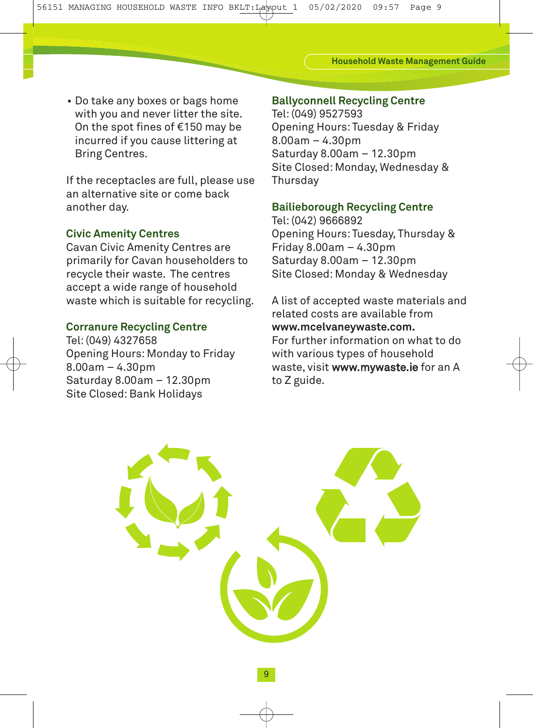**Household Waste Management Guide**

• Do take any boxes or bags home with you and never litter the site. On the spot fines of €150 may be incurred if you cause littering at Bring Centres.

If the receptacles are full, please use an alternative site or come back another day.

#### **Civic Amenity Centres**

Cavan Civic Amenity Centres are primarily for Cavan householders to recycle their waste. The centres accept a wide range of household waste which is suitable for recycling.

#### **Corranure Recycling Centre**

Tel: (049) 4327658 Opening Hours: Monday to Friday 8.00am – 4.30pm Saturday 8.00am – 12.30pm Site Closed: Bank Holidays

#### **Ballyconnell Recycling Centre**

Tel: (049) 9527593 Opening Hours: Tuesday & Friday 8.00am – 4.30pm Saturday 8.00am – 12.30pm Site Closed: Monday, Wednesday & Thursday

#### **Bailieborough Recycling Centre**

Tel: (042) 9666892 Opening Hours: Tuesday, Thursday & Friday 8.00am – 4.30pm Saturday 8.00am – 12.30pm Site Closed: Monday & Wednesday

A list of accepted waste materials and related costs are available from **www.mcelvaneywaste.com.** For further information on what to do with various types of household waste, visit www.mywaste.ie for an A to Z guide.

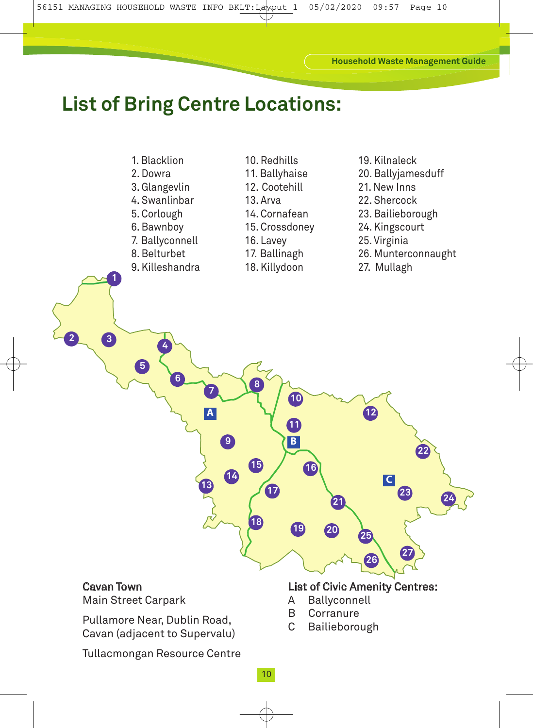# **List of Bring Centre Locations:**



Tullacmongan Resource Centre

 $10<sub>11</sub>$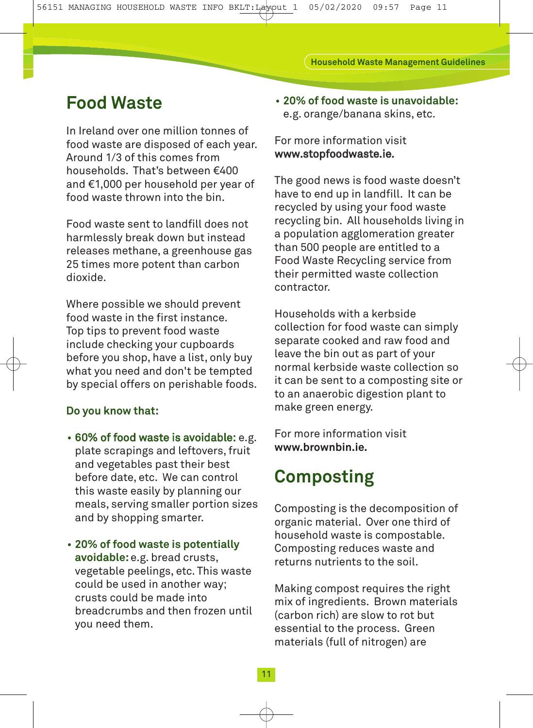### **Food Waste**

In Ireland over one million tonnes of food waste are disposed of each year. Around 1/3 of this comes from households. That's between €400 and €1,000 per household per year of food waste thrown into the bin.

Food waste sent to landfill does not harmlessly break down but instead releases methane, a greenhouse gas 25 times more potent than carbon dioxide.

Where possible we should prevent food waste in the first instance. Top tips to prevent food waste include checking your cupboards before you shop, have a list, only buy what you need and don't be tempted by special offers on perishable foods.

#### **Do you know that:**

- **6**0% of food waste is avoidable: e.g. plate scrapings and leftovers, fruit and vegetables past their best before date, etc. We can control this waste easily by planning our meals, serving smaller portion sizes and by shopping smarter.
- **20% of food waste is potentially avoidable:** e.g. bread crusts, vegetable peelings, etc. This waste could be used in another way; crusts could be made into breadcrumbs and then frozen until you need them.

• **20% of food waste is unavoidable:** e.g. orange/banana skins, etc.

For more information visit www.stopfoodwaste.ie.

The good news is food waste doesn't have to end up in landfill. It can be recycled by using your food waste recycling bin. All households living in a population agglomeration greater than 500 people are entitled to a Food Waste Recycling service from their permitted waste collection contractor.

Households with a kerbside collection for food waste can simply separate cooked and raw food and leave the bin out as part of your normal kerbside waste collection so it can be sent to a composting site or to an anaerobic digestion plant to make green energy.

For more information visit **www.brownbin.ie.**

### **Composting**

Composting is the decomposition of organic material. Over one third of household waste is compostable. Composting reduces waste and returns nutrients to the soil.

Making compost requires the right mix of ingredients. Brown materials (carbon rich) are slow to rot but essential to the process. Green materials (full of nitrogen) are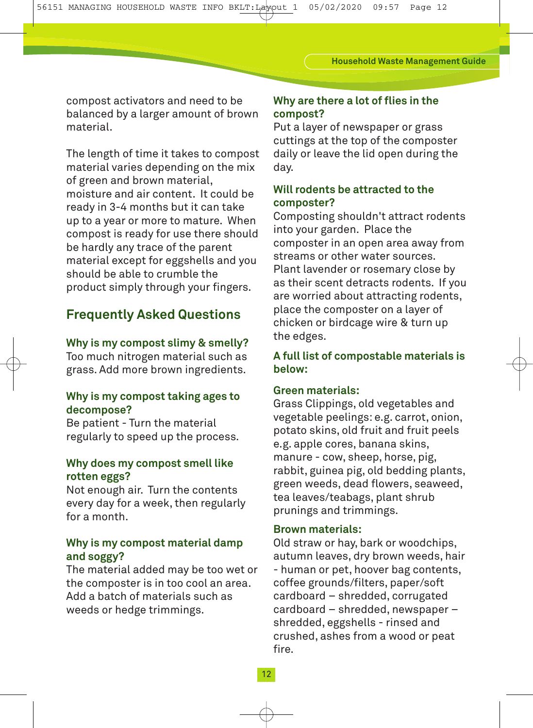compost activators and need to be balanced by a larger amount of brown material.

The length of time it takes to compost material varies depending on the mix of green and brown material, moisture and air content. It could be ready in 3-4 months but it can take up to a year or more to mature. When compost is ready for use there should be hardly any trace of the parent material except for eggshells and you should be able to crumble the product simply through your fingers.

#### **Frequently Asked Questions**

**Why is my compost slimy & smelly?** Too much nitrogen material such as

grass. Add more brown ingredients.

#### **Why is my compost taking ages to decompose?**

Be patient - Turn the material regularly to speed up the process.

#### **Why does my compost smell like rotten eggs?**

Not enough air. Turn the contents every day for a week, then regularly for a month.

#### **Why is my compost material damp and soggy?**

The material added may be too wet or the composter is in too cool an area. Add a batch of materials such as weeds or hedge trimmings.

#### **Why are there a lot of flies in the compost?**

Put a layer of newspaper or grass cuttings at the top of the composter daily or leave the lid open during the day.

#### **Will rodents be attracted to the composter?**

Composting shouldn't attract rodents into your garden. Place the composter in an open area away from streams or other water sources. Plant lavender or rosemary close by as their scent detracts rodents. If you are worried about attracting rodents, place the composter on a layer of chicken or birdcage wire & turn up the edges.

#### **A full list of compostable materials is below:**

#### **Green materials:**

Grass Clippings, old vegetables and vegetable peelings: e.g. carrot, onion, potato skins, old fruit and fruit peels e.g. apple cores, banana skins, manure - cow, sheep, horse, pig, rabbit, guinea pig, old bedding plants, green weeds, dead flowers, seaweed, tea leaves/teabags, plant shrub prunings and trimmings.

#### **Brown materials:**

Old straw or hay, bark or woodchips, autumn leaves, dry brown weeds, hair - human or pet, hoover bag contents, coffee grounds/filters, paper/soft cardboard – shredded, corrugated cardboard – shredded, newspaper – shredded, eggshells - rinsed and crushed, ashes from a wood or peat fire.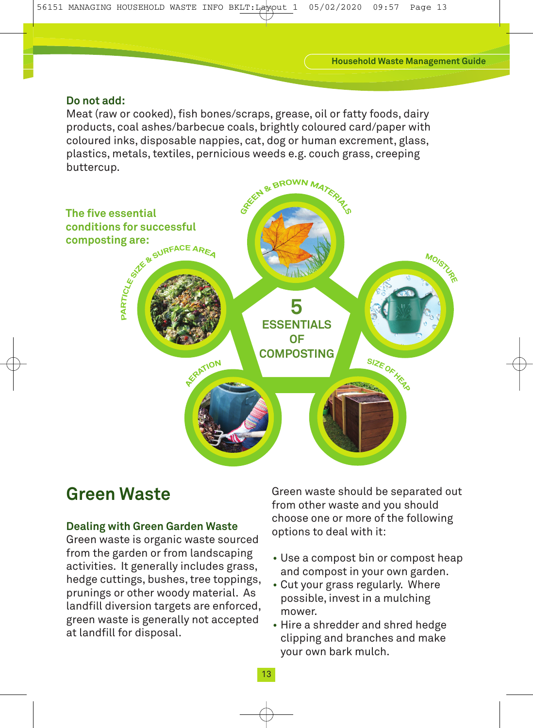

#### **Do not add:**

Meat (raw or cooked), fish bones/scraps, grease, oil or fatty foods, dairy products, coal ashes/barbecue coals, brightly coloured card/paper with coloured inks, disposable nappies, cat, dog or human excrement, glass, plastics, metals, textiles, pernicious weeds e.g. couch grass, creeping buttercup.



### **Green Waste**

#### **Dealing with Green Garden Waste**

Green waste is organic waste sourced from the garden or from landscaping activities. It generally includes grass, hedge cuttings, bushes, tree toppings, prunings or other woody material. As landfill diversion targets are enforced, green waste is generally not accepted at landfill for disposal.

Green waste should be separated out from other waste and you should choose one or more of the following options to deal with it:

- Use a compost bin or compost heap and compost in your own garden.
- Cut your grass regularly. Where possible, invest in a mulching mower.
- Hire a shredder and shred hedge clipping and branches and make your own bark mulch.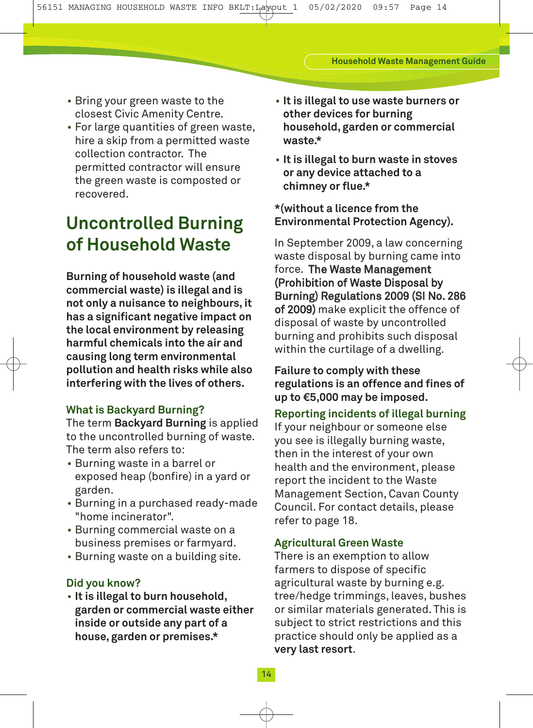**Household Waste Management Guide**

- Bring your green waste to the closest Civic Amenity Centre.
- For large quantities of green waste, hire a skip from a permitted waste collection contractor. The permitted contractor will ensure the green waste is composted or recovered.

# **Uncontrolled Burning of Household Waste**

**Burning of household waste (and commercial waste) is illegal and is not only a nuisance to neighbours, it has a significant negative impact on the local environment by releasing harmful chemicals into the air and causing long term environmental pollution and health risks while also interfering with the lives of others.**

#### **What is Backyard Burning?**

The term **Backyard Burning** is applied to the uncontrolled burning of waste. The term also refers to:

- Burning waste in a barrel or exposed heap (bonfire) in a yard or garden.
- Burning in a purchased ready-made "home incinerator".
- Burning commercial waste on a business premises or farmyard.
- Burning waste on a building site.

#### **Did you know?**

• **It is illegal to burn household, garden or commercial waste either inside or outside any part of a house, garden or premises.\***

- **It is illegal to use waste burners or other devices for burning household, garden or commercial waste.\***
- **It is illegal to burn waste in stoves or any device attached to a chimney or flue.\***

#### **\*(without a licence from the Environmental Protection Agency).**

In September 2009, a law concerning waste disposal by burning came into force. The Waste Management (Prohibition of Waste Disposal by Burning) Regulations 2009 (SI No. 286 of 2009) make explicit the offence of disposal of waste by uncontrolled burning and prohibits such disposal within the curtilage of a dwelling.

**Failure to comply with these regulations is an offence and fines of up to €5,000 may be imposed.**

#### **Reporting incidents of illegal burning**

If your neighbour or someone else you see is illegally burning waste, then in the interest of your own health and the environment, please report the incident to the Waste Management Section, Cavan County Council. For contact details, please refer to page 18.

#### **Agricultural Green Waste**

There is an exemption to allow farmers to dispose of specific agricultural waste by burning e.g. tree/hedge trimmings, leaves, bushes or similar materials generated. This is subject to strict restrictions and this practice should only be applied as a **very last resort**.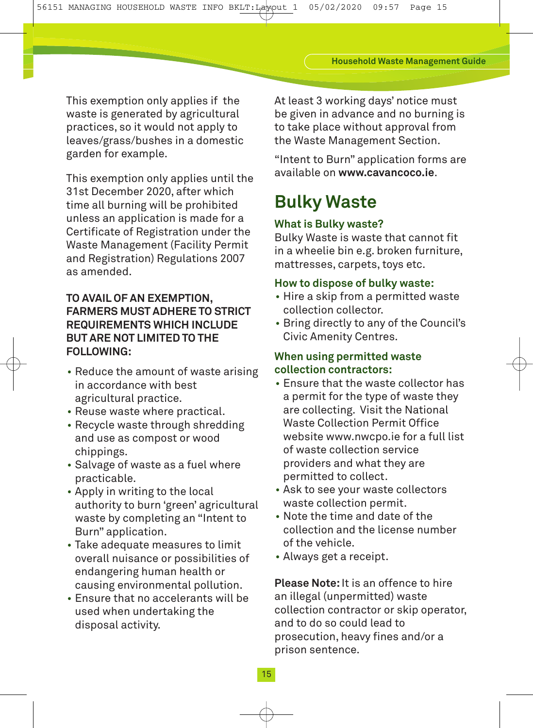**Household Waste Management Guide**

This exemption only applies if the waste is generated by agricultural practices, so it would not apply to leaves/grass/bushes in a domestic garden for example.

This exemption only applies until the 31st December 2020, after which time all burning will be prohibited unless an application is made for a Certificate of Registration under the Waste Management (Facility Permit and Registration) Regulations 2007 as amended.

#### **TO AVAIL OF AN EXEMPTION, FARMERS MUST ADHERE TO STRICT REQUIREMENTS WHICH INCLUDE BUT ARE NOT LIMITED TO THE FOLLOWING:**

- Reduce the amount of waste arising in accordance with best agricultural practice.
- Reuse waste where practical.
- Recycle waste through shredding and use as compost or wood chippings.
- Salvage of waste as a fuel where practicable.
- Apply in writing to the local authority to burn 'green' agricultural waste by completing an "Intent to Burn" application.
- Take adequate measures to limit overall nuisance or possibilities of endangering human health or causing environmental pollution.
- Ensure that no accelerants will be used when undertaking the disposal activity.

At least 3 working days' notice must be given in advance and no burning is to take place without approval from the Waste Management Section.

"Intent to Burn" application forms are available on **www.cavancoco.ie**.

### **Bulky Waste**

#### **What is Bulky waste?**

Bulky Waste is waste that cannot fit in a wheelie bin e.g. broken furniture, mattresses, carpets, toys etc.

#### **How to dispose of bulky waste:**

- Hire a skip from a permitted waste collection collector.
- Bring directly to any of the Council's Civic Amenity Centres.

#### **When using permitted waste collection contractors:**

- Ensure that the waste collector has a permit for the type of waste they are collecting. Visit the National Waste Collection Permit Office website www.nwcpo.ie for a full list of waste collection service providers and what they are permitted to collect.
- Ask to see your waste collectors waste collection permit.
- Note the time and date of the collection and the license number of the vehicle.
- Always get a receipt.

**Please Note:**It is an offence to hire an illegal (unpermitted) waste collection contractor or skip operator, and to do so could lead to prosecution, heavy fines and/or a prison sentence.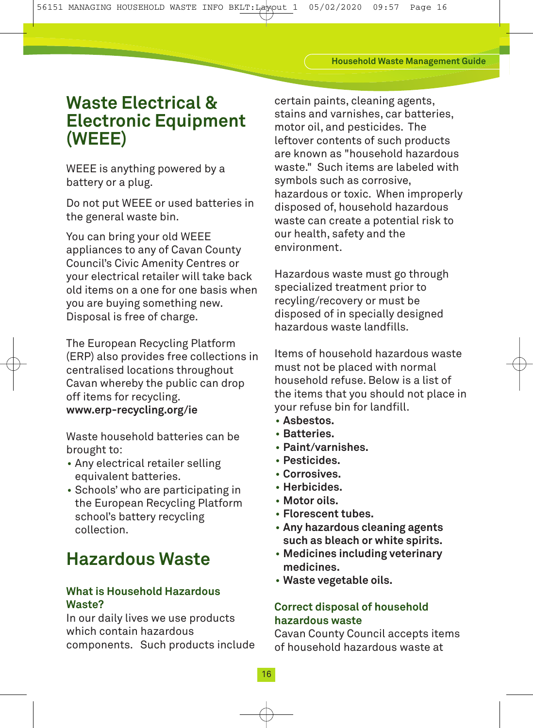### **Waste Electrical & Electronic Equipment (WEEE)**

WEEE is anything powered by a battery or a plug.

Do not put WEEE or used batteries in the general waste bin.

You can bring your old WEEE appliances to any of Cavan County Council's Civic Amenity Centres or your electrical retailer will take back old items on a one for one basis when you are buying something new. Disposal is free of charge.

The European Recycling Platform (ERP) also provides free collections in centralised locations throughout Cavan whereby the public can drop off items for recycling. **www.erp-recycling.org/ie**

Waste household batteries can be brought to:

- Any electrical retailer selling equivalent batteries.
- Schools' who are participating in the European Recycling Platform school's battery recycling collection.

### **Hazardous Waste**

#### **What is Household Hazardous Waste?**

In our daily lives we use products which contain hazardous components. Such products include certain paints, cleaning agents, stains and varnishes, car batteries, motor oil, and pesticides. The leftover contents of such products are known as "household hazardous waste." Such items are labeled with symbols such as corrosive, hazardous or toxic. When improperly disposed of, household hazardous waste can create a potential risk to our health, safety and the environment.

Hazardous waste must go through specialized treatment prior to recyling/recovery or must be disposed of in specially designed hazardous waste landfills.

Items of household hazardous waste must not be placed with normal household refuse. Below is a list of the items that you should not place in your refuse bin for landfill.

- **Asbestos.**
- **Batteries.**
- **Paint/varnishes.**
- **Pesticides.**
- **Corrosives.**
- **Herbicides.**
- **Motor oils.**
- **Florescent tubes.**
- **Any hazardous cleaning agents such as bleach or white spirits.**
- **Medicines including veterinary medicines.**
- **Waste vegetable oils.**

#### **Correct disposal of household hazardous waste**

Cavan County Council accepts items of household hazardous waste at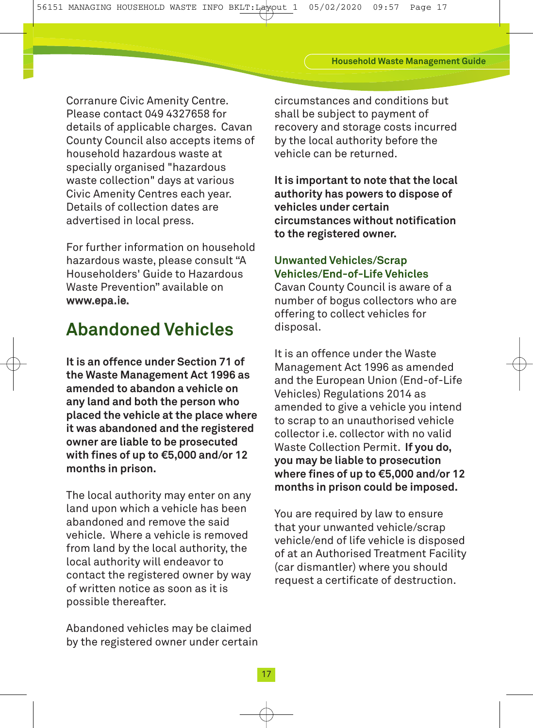**Household Waste Management Guide**

Corranure Civic Amenity Centre. Please contact 049 4327658 for details of applicable charges. Cavan County Council also accepts items of household hazardous waste at specially organised "hazardous waste collection" days at various Civic Amenity Centres each year. Details of collection dates are advertised in local press.

For further information on household hazardous waste, please consult "A Householders' Guide to Hazardous Waste Prevention" available on www.epa.ie.

### **Abandoned Vehicles**

**It is an offence under Section 71 of the Waste Management Act 1996 as amended to abandon a vehicle on any land and both the person who placed the vehicle at the place where it was abandoned and the registered owner are liable to be prosecuted with fines of up to €5,000 and/or 12 months in prison.**

The local authority may enter on any land upon which a vehicle has been abandoned and remove the said vehicle. Where a vehicle is removed from land by the local authority, the local authority will endeavor to contact the registered owner by way of written notice as soon as it is possible thereafter.

Abandoned vehicles may be claimed by the registered owner under certain circumstances and conditions but shall be subject to payment of recovery and storage costs incurred by the local authority before the vehicle can be returned.

**It is important to note that the local authority has powers to dispose of vehicles under certain circumstances without notification to the registered owner.**

#### **Unwanted Vehicles/Scrap Vehicles/End-of-Life Vehicles**

Cavan County Council is aware of a number of bogus collectors who are offering to collect vehicles for disposal.

It is an offence under the Waste Management Act 1996 as amended and the European Union (End-of-Life Vehicles) Regulations 2014 as amended to give a vehicle you intend to scrap to an unauthorised vehicle collector i.e. collector with no valid Waste Collection Permit. **If you do, you may be liable to prosecution where fines of up to €5,000 and/or 12 months in prison could be imposed.**

You are required by law to ensure that your unwanted vehicle/scrap vehicle/end of life vehicle is disposed of at an Authorised Treatment Facility (car dismantler) where you should request a certificate of destruction.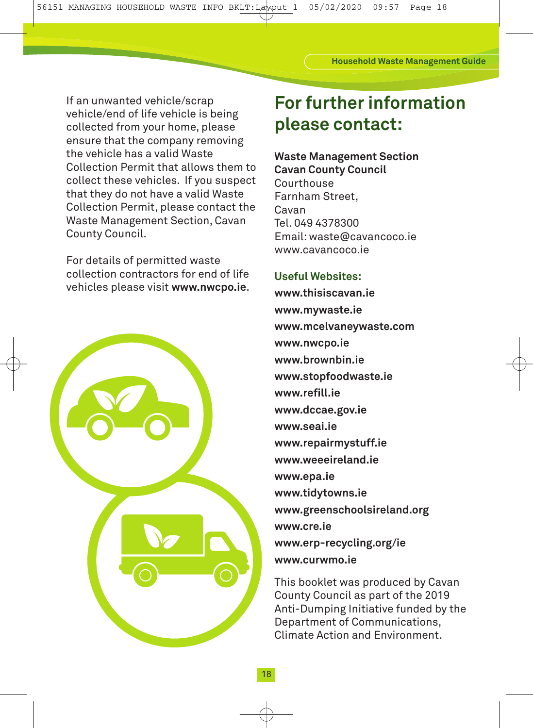**Household Waste Management Guide**

If an unwanted vehicle/scrap vehicle/end of life vehicle is being collected from your home, please ensure that the company removing the vehicle has a valid Waste Collection Permit that allows them to collect these vehicles. If you suspect that they do not have a valid Waste Collection Permit, please contact the Waste Management Section, Cavan County Council.

For details of permitted waste collection contractors for end of life vehicles please visit **www.nwcpo.ie**.



## **For further information please contact:**

#### **Waste Management Section Cavan County Council**

**Courthouse** Farnham Street, Cavan Tel. 049 4378300 Email: waste@cavancoco.ie www.cavancoco.ie

#### **Useful Websites:**

**www.thisiscavan.ie www.mywaste.ie www.mcelvaneywaste.com www.nwcpo.ie www.brownbin.ie www.stopfoodwaste.ie www.refill.ie www.dccae.gov.ie www.seai.ie www.repairmystuff.ie www.weeeireland.ie www.epa.ie www.tidytowns.ie www.greenschoolsireland.org www.cre.ie www.erp-recycling.org/ie www.curwmo.ie**

This booklet was produced by Cavan County Council as part of the 2019 Anti-Dumping Initiative funded by the Department of Communications, Climate Action and Environment.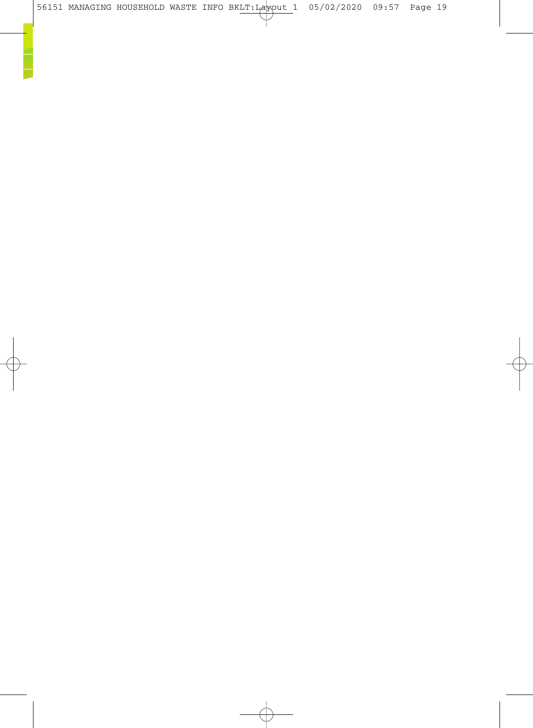€